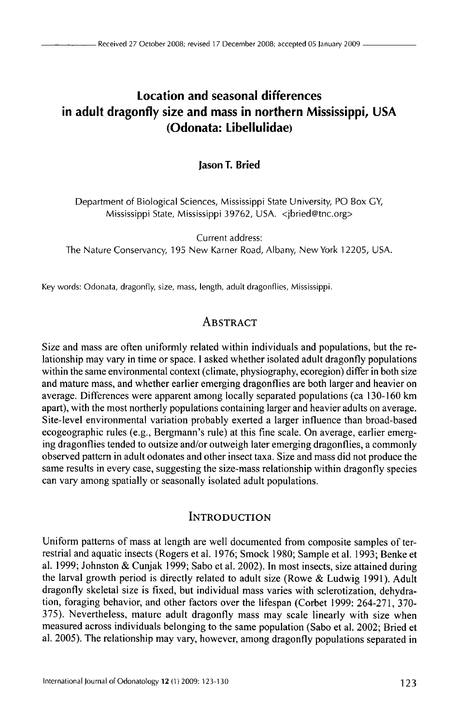# **Location and seasonal differences in adult dragonfly size and mass in northern Mississippi, USA (Odonata: Libellulidae)**

**Jason T. Bried** 

Department of Biological Sciences, Mississippi State University, PO Box GY, Mississippi State, Mississippi 39762, USA. <jbried@tnc.org>

Current address: The Nature Conservancy, 195 New Karner Road, Albany, New York 12205, USA.

Key words: Odonata, dragonfly, size, mass, length, adult dragonflies, Mississippi.

## **ABSTRACT**

Size and mass are often uniformly related within individuals and populations, but the relationship may vary in time or space. I asked whether isolated adult dragonfly populations within the same environmental context (climate, physiography, ecoregion) differ in both size and mature mass, and whether earlier emerging dragonflies are both larger and heavier on average. Differences were apparent among locally separated populations ( ca 130-160 km apart), with the most northerly populations containing larger and heavier adults on average. Site-level environmental variation probably exerted a larger influence than broad-based ecogeographic rules (e.g., Bergmann's rule) at this fine scale. On average, earlier emerging dragonflies tended to outsize and/or outweigh later emerging dragonflies, a commonly observed pattern in adult odonates and other insect taxa. Size and mass did not produce the same results in every case, suggesting the size-mass relationship within dragonfly species can vary among spatially or seasonally isolated adult populations.

### INTRODUCTION

Uniform patterns of mass at length are well documented from composite samples of terrestrial and aquatic insects (Rogers et al. 1976; Smock 1980; Sample et al. 1993; Benke et al. 1999; Johnston & Cunjak 1999; Sabo et al. 2002). In most insects, size attained during the larval growth period is directly related to adult size (Rowe & Ludwig 1991). Adult dragonfly skeletal size is fixed, but individual mass varies with sclerotization, dehydration, foraging behavior, and other factors over the lifespan (Corbet 1999: 264-271, 370-375). Nevertheless, mature adult dragonfly mass may scale linearly with size when measured across individuals belonging to the same population (Sabo et al. 2002; Bried et al. 2005). The relationship may vary, however, among dragonfly populations separated in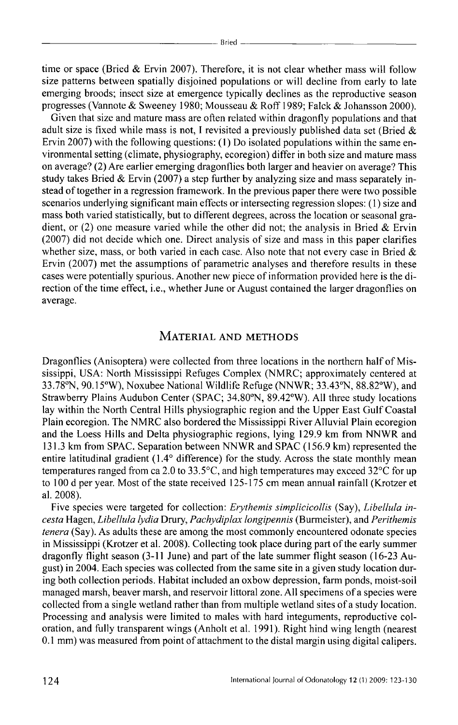time or space (Bried & Ervin 2007). Therefore, it is not clear whether mass will follow size patterns between spatially disjoined populations or will decline from early to late emerging broods; insect size at emergence typically declines as the reproductive season progresses (Vannote & Sweeney 1980; Mousseau & Roff 1989; Falck & Johansson 2000).

Given that size and mature mass are often related within dragonfly populations and that adult size is fixed while mass is not, I revisited a previously published data set (Bried  $\&$ Ervin 2007) with the following questions: (I) Do isolated populations within the same environmental setting (climate, physiography, ecoregion) differ in both size and mature mass on average? (2) Are earlier emerging dragonflies both larger and heavier on average? This study takes Bried & Ervin (2007) a step further by analyzing size and mass separately instead of together in a regression framework. In the previous paper there were two possible scenarios underlying significant main effects or intersecting regression slopes: ( 1) size and mass both varied statistically, but to different degrees, across the location or seasonal gradient, or  $(2)$  one measure varied while the other did not; the analysis in Bried & Ervin (2007) did not decide which one. Direct analysis of size and mass in this paper clarifies whether size, mass, or both varied in each case. Also note that not every case in Bried  $\&$ Ervin (2007) met the assumptions of parametric analyses and therefore results in these cases were potentially spurious. Another new piece of information provided here is the direction of the time effect, i.e., whether June or August contained the larger dragonflies on average.

#### MATERIAL AND METHODS

Dragonflies (Anisoptera) were collected from three locations in the northern half of Mississippi, USA: North Mississippi Refuges Complex (NMRC; approximately centered at 33. 78°N, 90.15°W), Noxubee National Wildlife Refuge (NNWR; 33.43°N, 88.82°W), and Strawberry Plains Audubon Center (SPAC; 34.80°N, 89.42°W). All three study locations lay within the North Central Hills physiographic region and the Upper East Gulf Coastal Plain ecoregion. The NMRC also bordered the Mississippi River Alluvial Plain ecoregion and the Loess Hills and Delta physiographic regions, lying 129.9 km from NNWR and 131.3 km from SPAC. Separation between NNWR and SPAC ( 156.9 km) represented the entire latitudinal gradient (1.4° difference) for the study. Across the state monthly mean temperatures ranged from ca 2.0 to 33.5°C, and high temperatures may exceed 32°C for up to 100 d per year. Most of the state received 125-175 em mean annual rainfall (Krotzer et al. 2008).

Five species were targeted for collection: *Erythemis simplicicollis* (Say), *Libellula incesta* Hagen, *Libellula lydia* Drury, *Pachydiplax longipennis* (Burmeister), and *Perithemis tenera* (Say). As adults these are among the most commonly encountered odonate species in Mississippi (Krotzer et al. 2008). Collecting took place during part of the early summer dragonfly flight season (3-11 June) and part of the late summer flight season (16-23 August) in 2004. Each species was collected from the same site in a given study location during both collection periods. Habitat included an oxbow depression, farm ponds, moist-soil managed marsh, beaver marsh, and reservoir littoral zone. All specimens of a species were collected from a single wetland rather than from multiple wetland sites of a study location. Processing and analysis were limited to males with hard integuments, reproductive coloration, and fully transparent wings (Anholt et al. 1991 ). Right hind wing length (nearest 0.1 mm) was measured from point of attachment to the distal margin using digital calipers.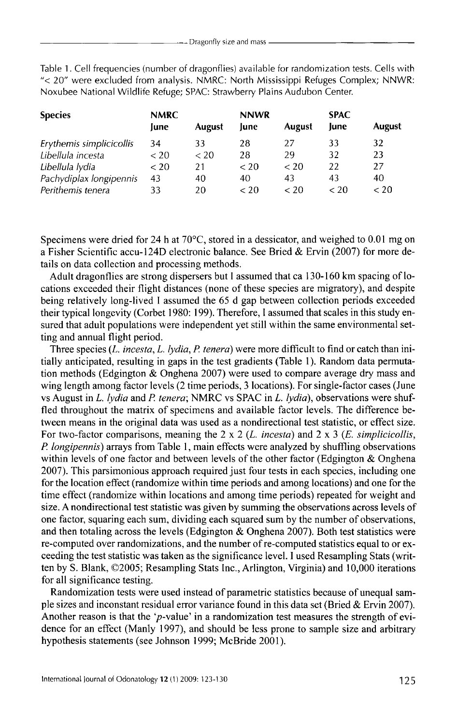Table 1. Cell frequencies (number of dragonflies) available for randomization tests. Cells with "< 20" were excluded from analysis. NMRC: North Mississippi Refuges Complex; NNWR: Noxubee National Wildlife Refuge; SPAC: Strawberry Plains Audubon Center.

| <b>Species</b>           | <b>NMRC</b> |               | <b>NNWR</b> |               | <b>SPAC</b> |               |
|--------------------------|-------------|---------------|-------------|---------------|-------------|---------------|
|                          | June        | <b>August</b> | June        | <b>August</b> | lune        | <b>August</b> |
| Erythemis simplicicollis | 34          | 33            | 28          | 27            | 33          | 32            |
| Libellula incesta        | $<$ 20      | $<$ 20        | 28          | 29            | 32          | 23            |
| Libellula Iydia          | ${}_{<} 20$ | 21            | < 20        | < 20          | 22          | 27            |
| Pachydiplax longipennis  | 43          | 40            | 40          | 43            | 43          | 40            |
| Perithemis tenera        | 33          | 20            | < 20        | < 20          | < 20        | < 20          |

Specimens were dried for 24 h at  $70^{\circ}$ C, stored in a dessicator, and weighed to 0.01 mg on a Fisher Scientific accu-1240 electronic balance. See Bried & Ervin (2007) for more details on data collection and processing methods.

Adult dragonflies are strong dispersers but I assumed that ca 130-160 km spacing of locations exceeded their flight distances (none of these species are migratory), and despite being relatively long-lived I assumed the 65 d gap between collection periods exceeded their typical longevity (Corbet 1980: 199). Therefore, I assumed that scales in this study ensured that adult populations were independent yet still within the same environmental setting and annual flight period.

Three species (L. *incesta, L. lydia, P. tenera*) were more difficult to find or catch than initially anticipated, resulting in gaps in the test gradients (Table I). Random data permutation methods (Edgington & Onghena 2007) were used to compare average dry mass and wing length among factor levels (2 time periods, 3 locations). For single-factor cases (June vs August in L. *lydia* and *P tenera;* NMRC vs SPAC in L. *lydia),* observations were shuffled throughout the matrix of specimens and available factor levels. The difference between means in the original data was used as a nondirectional test statistic, or effect size. For two-factor comparisons, meaning the 2 x 2 (L. *incesta)* and 2 x 3 (E. *simplicicollis, P longipennis)* arrays from Table I, main effects were analyzed by shuffling observations within levels of one factor and between levels of the other factor (Edgington  $\&$  Onghena 2007). This parsimonious approach required just four tests in each species, including one for the location effect (randomize within time periods and among locations) and one for the time effect (randomize within locations and among time periods) repeated for weight and size. A nondirectional test statistic was given by summing the observations across levels of one factor, squaring each sum, dividing each squared sum by the number of observations, and then totaling across the levels (Edgington  $&$  Onghena 2007). Both test statistics were re-computed over randomizations, and the number of re-computed statistics equal to or exceeding the test statistic was taken as the significance level. I used Resampling Stats (written by S. Blank, ©2005; Resampling Stats Inc., Arlington, Virginia) and 10,000 iterations for all significance testing.

Randomization tests were used instead of parametric statistics because of unequal sample sizes and inconstant residual error variance found in this data set (Bried & Ervin 2007). Another reason is that the 'p-value' in a randomization test measures the strength of evidence for an effect (Manly 1997), and should be less prone to sample size and arbitrary hypothesis statements (see Johnson 1999; McBride 2001).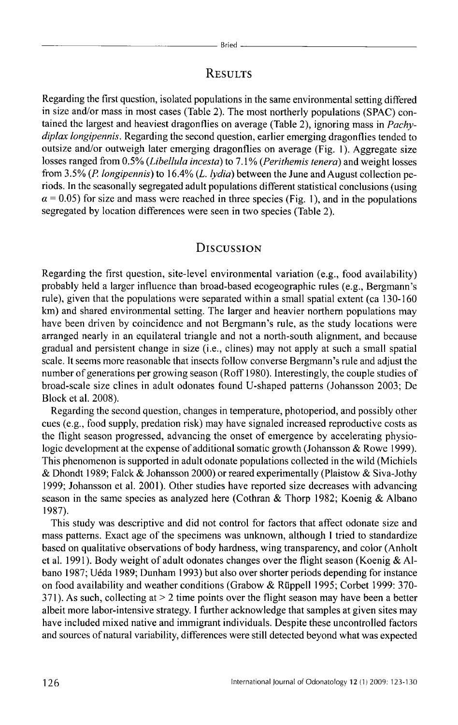### **RESULTS**

Regarding the first question, isolated populations in the same environmental setting differed in size and/or mass in most cases (Table 2). The most northerly populations (SPAC) contained the largest and heaviest dragonflies on average (Table 2), ignoring mass in *Pachydiplax longipennis.* Regarding the second question, earlier emerging dragonflies tended to outsize and/or outweigh later emerging dragonflies on average (Fig. I). Aggregate size losses ranged from 0.5% *(Libellula incesta)* to 7.1% *(Perithemis tenera)* and weight losses from 3.5% *(P longipennis)* to 16.4% (L. *lydia)* between the June and August collection periods. In the seasonally segregated adult populations different statistical conclusions (using  $\alpha$  = 0.05) for size and mass were reached in three species (Fig. 1), and in the populations segregated by location differences were seen in two species (Table 2).

#### DISCUSSION

Regarding the first question, site-level environmental variation (e.g., food availability) probably held a larger influence than broad-based ecogeographic rules (e.g., Bergmann's rule), given that the populations were separated within a small spatial extent (ca 130-160) km) and shared environmental setting. The larger and heavier northern populations may have been driven by coincidence and not Bergmann's rule, as the study locations were arranged nearly in an equilateral triangle and not a north-south alignment, and because gradual and persistent change in size (i.e., clines) may not apply at such a small spatial scale. It seems more reasonable that insects follow converse Bergmann's rule and adjust the number of generations per growing season (Roff 1980). Interestingly, the couple studies of broad-scale size clines in adult odonates found U-shaped patterns (Johansson 2003; De Block et al. 2008).

Regarding the second question, changes in temperature, photoperiod, and possibly other cues (e.g., food supply, predation risk) may have signaled increased reproductive costs as the flight season progressed, advancing the onset of emergence by accelerating physiologic development at the expense of additional somatic growth (Johansson & Rowe 1999). This phenomenon is supported in adult odonate populations collected in the wild (Michiels & Dhondt 1989; Falck & Johansson 2000) or reared experimentally (Plaistow & Siva-Jothy 1999; Johansson et al. 2001). Other studies have reported size decreases with advancing season in the same species as analyzed here (Cothran & Thorp 1982; Koenig & Albano 1987).

This study was descriptive and did not control for factors that affect odonate size and mass patterns. Exact age of the specimens was unknown, although I tried to standardize based on qualitative observations of body hardness, wing transparency, and color (Anholt et al. 1991). Body weight of adult odonates changes over the flight season (Koenig & Albano 1987; Ueda 1989; Dunham 1993) but also over shorter periods depending for instance on food availability and weather conditions (Grabow & Rüppell 1995; Corbet 1999: 370-371). As such, collecting at  $> 2$  time points over the flight season may have been a better albeit more labor-intensive strategy. I further acknowledge that samples at given sites may have included mixed native and immigrant individuals. Despite these uncontrolled factors and sources of natural variability, differences were still detected beyond what was expected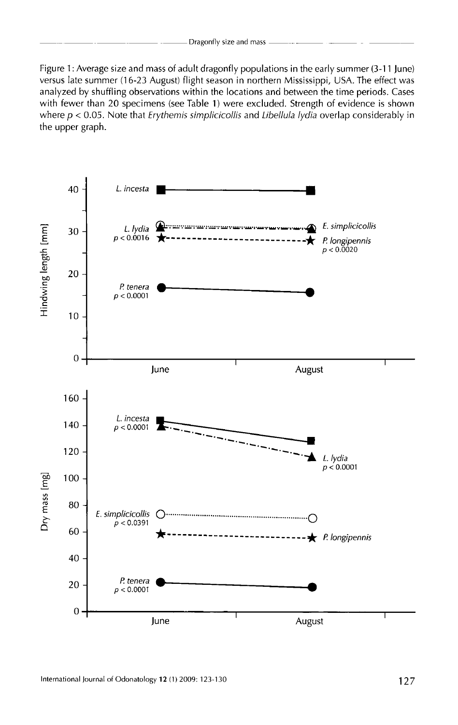Figure 1: Average size and mass of adult dragonfly populations in the early summer (3-11 june) versus late summer (16-23 August) flight season in northern Mississippi, USA. The effect was analyzed by shuffling observations within the locations and between the time periods. Cases with fewer than 20 specimens (see Table 1) were excluded. Strength of evidence is shown where  $p < 0.05$ . Note that *Erythemis simplicicollis* and *Libellula lydia* overlap considerably in the upper graph.

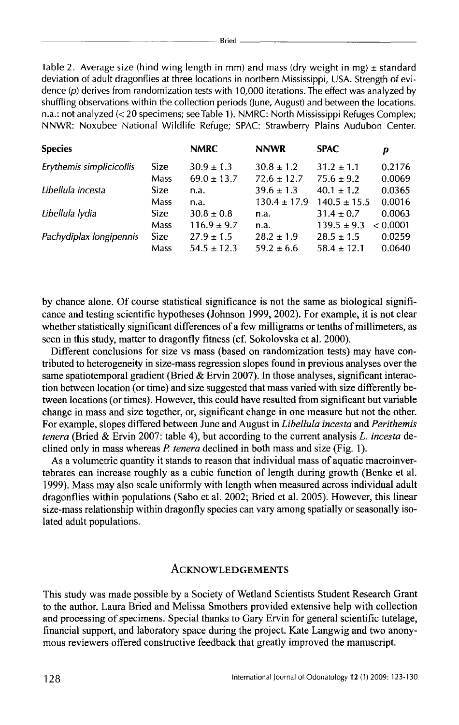Table 2. Average size (hind wing length in mm) and mass (dry weight in mg)  $\pm$  standard deviation of adult dragonflies at three locations in northern Mississippi, USA. Strength of evidence (p) derives from randomization tests with 10,000 iterations. The effect was analyzed by shuffling observations within the collection periods (June, August) and between the locations. n.a.: not analyzed(< 20 specimens; see Table 1 ). NMRC: North Mississippi Refuges Complex; NNWR: Noxubee National Wildlife Refuge; SPAC: Strawberry Plains Audubon Center.

| <b>Species</b>           |             | <b>NMRC</b>     | <b>NNWR</b>      | <b>SPAC</b>      | р        |
|--------------------------|-------------|-----------------|------------------|------------------|----------|
| Erythemis simplicicollis | <b>Size</b> | $30.9 \pm 1.3$  | $30.8 \pm 1.2$   | $31.2 \pm 1.1$   | 0.2176   |
|                          | Mass        | $69.0 \pm 13.7$ | $72.6 \pm 12.7$  | $75.6 \pm 9.2$   | 0.0069   |
| Libellula incesta        | <b>Size</b> | n.a.            | $39.6 \pm 1.3$   | $40.1 \pm 1.2$   | 0.0365   |
|                          | Mass        | n.a.            | $130.4 \pm 17.9$ | $140.5 \pm 15.5$ | 0.0016   |
| Libellula lydia          | <b>Size</b> | $30.8 \pm 0.8$  | n.a.             | $31.4 \pm 0.7$   | 0.0063   |
|                          | Mass        | $116.9 \pm 9.7$ | n.a.             | $139.5 \pm 9.3$  | < 0.0001 |
| Pachydiplax longipennis  | <b>Size</b> | $27.9 \pm 1.5$  | $28.2 \pm 1.9$   | $28.5 \pm 1.5$   | 0.0259   |
|                          | <b>Mass</b> | $54.5 \pm 12.3$ | $59.2 \pm 6.6$   | $58.4 \pm 12.1$  | 0.0640   |

by chance alone. Of course statistical significance is not the same as biological significance and testing scientific hypotheses (Johnson 1999, 2002). For example, it is not clear whether statistically significant differences of a few milligrams or tenths of millimeters, as seen in this study, matter to dragonfly fitness (cf. Sokolovska et al. 2000).

Different conclusions for size vs mass (based on randomization tests) may have contributed to heterogeneity in size-mass regression slopes found in previous analyses over the same spatiotemporal gradient (Bried & Ervin 2007). In those analyses, significant interaction between location (or time) and size suggested that mass varied with size differently between locations (or times). However, this could have resulted from significant but variable change in mass and size together, or, significant change in one measure but not the other. For example, slopes differed between June and August in *Libellula incesta* and *Perithemis tenera* (Bried & Ervin 2007: table 4), but according to the current analysis L. *incesta* declined only in mass whereas *P. tenera* declined in both mass and size (Fig. 1).

As a volumetric quantity it stands to reason that individual mass of aquatic macroinvertebrates can increase roughly as a cubic function of length during growth (Benke et al. 1999). Mass may also scale uniformly with length when measured across individual adult dragonflies within populations (Sabo et al. 2002; Bried et al. 2005). However, this linear size-mass relationship within dragonfly species can vary among spatially or seasonally isolated adult populations.

#### **ACKNOWLEDGEMENTS**

This study was made possible by a Society of Wetland Scientists Student Research Grant to the author. Laura Bried and Melissa Smothers provided extensive help with collection and processing of specimens. Special thanks to Gary Ervin for general scientific tutelage, financial support, and laboratory space during the project. Kate Langwig and two anonymous reviewers offered constructive feedback that greatly improved the manuscript.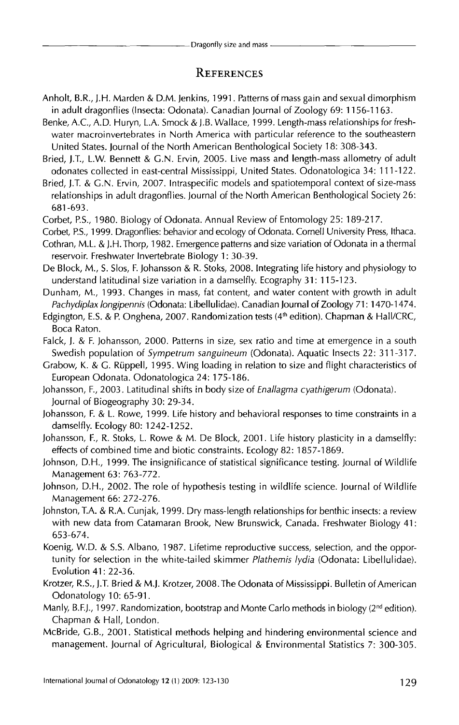### **REFERENCES**

- An holt, B.R., ).H. Marden & D.M. jenkins, 1991. Patterns of mass gain and sexual dimorphism in adult dragonflies (Insecta: Odonata). Canadian journal of Zoology 69: 1156-1163.
- Benke, A.C., A.D. Huryn, L.A. Smock & J.B. Wallace, 1999. Length-mass relationships for freshwater macroinvertebrates in North America with particular reference to the southeastern United States. journal of the North American Benthological Society 18: 308-343.
- Bried, j.T., L.W. Bennett & G.N. Ervin, 2005. Live mass and length-mass allometry of adult odonates collected in east-central Mississippi, United States. Odonatologica 34: 111-122.
- Bried, ).T. & G.N. Ervin, 2007. Intraspecific models and spatiotemporal context of size-mass relationships in adult dragonflies. journal of the North American Benthological Society 26: 681-693.
- Corbet, P.S., 1980. Biology of Odonata. Annual Review of Entomology 25: 189-217.
- Corbet, P.S., 1999. Dragonflies: behavior and ecology of Odonata. Cornell University Press, Ithaca.
- Cothran, M.L. & ).H. Thorp, 1982. Emergence patterns and size variation of Odonata in a thermal reservoir. Freshwater Invertebrate Biology 1: 30-39.
- De Block, M., S. Slos, F. Johansson & R. Stoks, 2008. Integrating life history and physiology to understand latitudinal size variation in a damselfly. Ecography 31: 115-123.
- Dunham, M., 1993. Changes in mass, fat content, and water content with growth in adult *Pachydiplax longipennis* (Odonata: Libellulidae). Canadian Journal of Zoology 71: 1470-147 4.
- Edgington, E.S. & P. Onghena, 2007. Randomization tests (4<sup>th</sup> edition). Chapman & Hall/CRC, Boca Raton.
- Falck,). & F. Johansson, 2000. Patterns in size, sex ratio and time at emergence in a south Swedish population of *Sympetrum sanguineum* (Odonata). Aquatic Insects 22: 311-317.
- Grabow, K. & G. Ruppel!, 1995. Wing loading in relation to size and flight characteristics of European Odonata. Odonatologica 24: 175-186.
- Johansson, F., 2003. Latitudinal shifts in body size of *Enallagma cyathigerum* (Odonata). journal of Biogeography 30: 29-34.
- Johansson, F. & L. Rowe, 1999. Life history and behavioral responses to time constraints in a damselfly. Ecology 80: 1242-1252.
- Johansson, F., R. Stoks, L. Rowe & M. De Block, 2001. Life history plasticity in a damselfly: effects of combined time and biotic constraints. Ecology 82: 1857-1869.
- Johnson, D.H., 1999. The insignificance of statistical significance testing. Journal of Wildlife Management 63: 763-772.
- Johnson, D.H., 2002. The role of hypothesis testing in wildlife science. journal of Wildlife Management 66: 272-276.
- johnston, T.A. & R.A. Cunjak, 1999. Dry mass-length relationships for benthic insects: a review with new data from Catamaran Brook, New Brunswick, Canada. Freshwater Biology 41: 653-674.
- Koenig, W.O. & S.S. Albano, 1987. Lifetime reproductive success, selection, and the opportunity for selection in the white-tailed skimmer *Plathemis lydia* (Odonata: Libellulidae). Evolution 41: 22-36.
- Krotzer, R.S., ).T. Bried & M.j. Krotzer, 2008. The Odonata of Mississippi. Bulletin of American Odonatology 10: 65-91.
- Manly, B.F.J., 1997. Randomization, bootstrap and Monte Carlo methods in biology (2<sup>nd</sup> edition). Chapman & Hall, London.
- McBride, G.B., 2001. Statistical methods helping and hindering environmental science and management. journal of Agricultural, Biological & Environmental Statistics 7: 300-305.